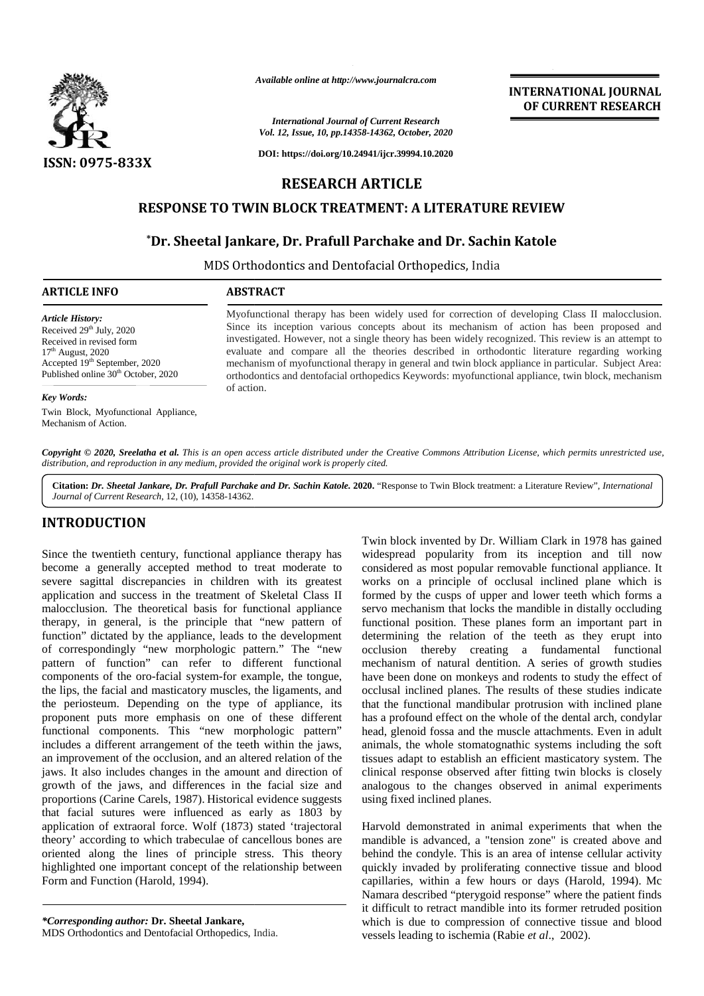

*Available online at http://www.journalcra.com*

#### *International Journal of Current Research Vol. 12, Issue, 10, pp.14358-14362, October, 2020*

**DOI: https://doi.org/10.24941/ijcr.39994.10.2020**

# **RESEARCH ARTICLE**

## **RESPONSE TO TWIN BLOCK TREATMENT: A LITERATURE REVIEW TWIN BLOCK**

## **\*Dr. Sheetal Jankare, Dr. Prafull Parchake and Dr. Sachin Katole**

MDS Orthodontics and Dentofacial Orthopedics, India MDS Orthodontics

#### **ARTICLE INFO ABSTRACT ARTICLE ABSTRACT**

*Article History:* Received 29<sup>th</sup> July, 2020 Received in revised form 17 th August, 2020 Accepted 19<sup>th</sup> September, 2020 Published online 30<sup>th</sup> October, 2020

#### *Key Words:*

Twin Block, Myofunctional Appliance, Mechanism of Action.

Myofunctional therapy has been widely used for correction of developing Class II malocclusion. Since its inception various concepts about its mechanism of action has been proposed and investigated. However, not a single theory has been widely recognized. This review is an attempt to evaluate and compare all the theories described in orthodontic literature regarding working mechanism of myofunctional therapy in general and twin block appliance in particular. Subject Area: orthodontics and dentofacial orthopedics Keywords: myofunctional appliance, twin block, mechanism of action. Myofunctional therapy has been widely used for correction of developing Class II Since its inception various concepts about its mechanism of action has been investigated. However, not a single theory has been widely recogn Example the excited in revised form<br>August, 2020<br>
Paragust, 2020<br>
Paragust, 2020<br>
Paragust, 2020<br>
Paragust 19<sup>th</sup> September, 2020<br>
September, 2020<br>
Mords:<br> **Words:**<br> **Words:**<br> **Words:**<br> **Words:**<br> **Words:**<br> **Words:**<br> **Words** *Available online at http://www.journalcra.com*<br> *Current Research*<br> *Current Research*<br> **CURRENT ANDISSE TO TWIN BLOCK TREATMENT: A LI<br>
<b>CURRENT ANDISSE TO TWIN BLOCK TREATMENT: A LI<br>
<sup>2</sup>Dr. Sheetal Jankare, Dr. Prafull P** Action.is

Copyright © 2020, Sreelatha et al. This is an open access article distributed under the Creative Commons Attribution License, which permits unrestricted use, *distribution, and reproduction in any medium, provided the original work is properly cited. distribution,any*

**Citation:** *Dr. Sheetal Jankare, Dr. Prafull Parchake and Dr. Sachin Katole.* **2020.** "Response to Twin Block treatment: a Literature Review", *International Journal of Current Research*, 12, (10), 14358-14362.

## **INTRODUCTION INTRODUCTION**

Since the twentieth century, functional appliance therapy has viol become a generally accepted method to treat moderate to become a generally accepted method to treat moderate to c<br>severe sagittal discrepancies in children with its greatest application and success in the treatment of Skeletal Class II application and success in the treatment of Skeletal Class II formalocclusion. The theoretical basis for functional appliance server therapy, in general, is the principle that "new pattern of therapy, in general, is the principle that "new pattern of function" dictated by the appliance, leads to the development of correspondingly "new morphologic pattern." The "new of correspondingly "new morphologic pattern." The "new c<br>pattern of function" can refer to different functional r components of the oro-facial system-for example, the tongue, the lips, the facial and masticatory muscles, the ligaments, and the periosteum. Depending on the type of appliance, its the lips, the facial and masticatory muscles, the ligaments, and<br>the periosteum. Depending on the type of appliance, its<br>proponent puts more emphasis on one of these different functional components. This "new morphologic pattern" head includes a different arrangement of the teeth within the jaws, an improvement of the occlusion, and an altered relation of the jaws. It also includes changes in the amount and direction of growth of the jaws, and differences in the facial size and proportions (Carine Carels, 1987). Historical evidence suggests that facial sutures were influenced as early as 1803 by application of extraoral force. Wolf (1873) stated 'trajectoral theory' according to which trabeculae of cancellous bones are oriented along the lines of principle stress. This theory highlighted one important concept of the relationship between Form and Function (Harold, 1994). includes a different arrangement of the teeth within the ja<br>an improvement of the occlusion, and an altered relation of<br>jaws. It also includes changes in the amount and direction<br>growth of the jaws, and differences in the theory' according to which trabeculae of cancell<br>oriented along the lines of principle stress.<br>highlighted one important concept of the relation<br>Form and Function (Harold, 1994). Nince the twentienh century, functional appliance therapy has widespread popular removable functional appliance<br>become a generally accepted method to treat moderate to considered as mats popular removable functional applia crion in any medium, provided the original work is properly cited.<br> **Jankare, Dr. Prafull Parchake and Dr. Sachin Katole. 2020.** "Response to Twin Block treatment: a Lite<br>
search, 12, (10), 14358-14362.<br> **N** Twin block in **EXERCISE THE CONSULTER CONSULTER INTERFERITE SURFACE AND INTERFERIT RESPONSE TO TWIN BLOCK AREA (BARTICLE RESPONSE TO TWIN BLOCK TREATIVIERT: A LITERATIVIER REVIEW TD. Sheeted Jankare, Dr. Prafilul Parchake and Dr. Sachi** 

*\*Corresponding author:* **Dr. Sheetal Jankare,** *\*Corresponding* MDS Orthodontics and Dentofacial Orthopedics, India.

Twin block invented by Dr. William Clark in 1978 has gained widespread popularity from its inception and till now considered as most popular removable functional appliance. It works on a principle of occlusal inclined plane which is formed by the cusps of upper and lower teeth which forms a servo mechanism that locks the mandible in distally occluding functional position. These planes form an important part in determining the relation of the teeth as they erupt into occlusion thereby creating a fundamental functional mechanism of natural dentition. A series of growth studies have been done on monkeys and rodents to study the effect of occlusal inclined planes. The results of these studies indicate that the functional mandibular protrusion with inclined plane has a profound effect on the whole of the dental arch, condylar head, glenoid fossa and the muscle attachments. Even in adult animals, the whole stomatognathic systems including the soft tissues adapt to establish an efficient masticatory system. The clinical response observed after fitting twin blocks is closely analogous to the changes observed in animal experiments using fixed inclined planes. **EXAMPLE 1997** And the set of the set of the set of the set of the set of the set of the set of the set of the set of the set of the set of the set of the set of the set of the set of the set of the set of the set of the

**INTERNATIONAL JOURNAL OF CURRENT RESEARCH**

Harvold demonstrated in animal experiments that when the mandible is advanced, a "tension zone" is created above and behind the condyle. This is an area of intense cellular activity quickly invaded by proliferating connective tissue and blood capillaries, within a few hours or days (Harold, 1994). Mc Namara described "pterygoid response" where the patient finds it difficult to retract mandible into its former retruded position which is due to compression of connective tissue and blood vessels leading to ischemia (Rabie *et al*., 2002). in is to the changes observed in animal experiments<br>xed inclined planes.<br>I demonstrated in animal experiments that when the<br>le is advanced, a "tension zone" is created above and<br>the condyle. This is an area of intense cell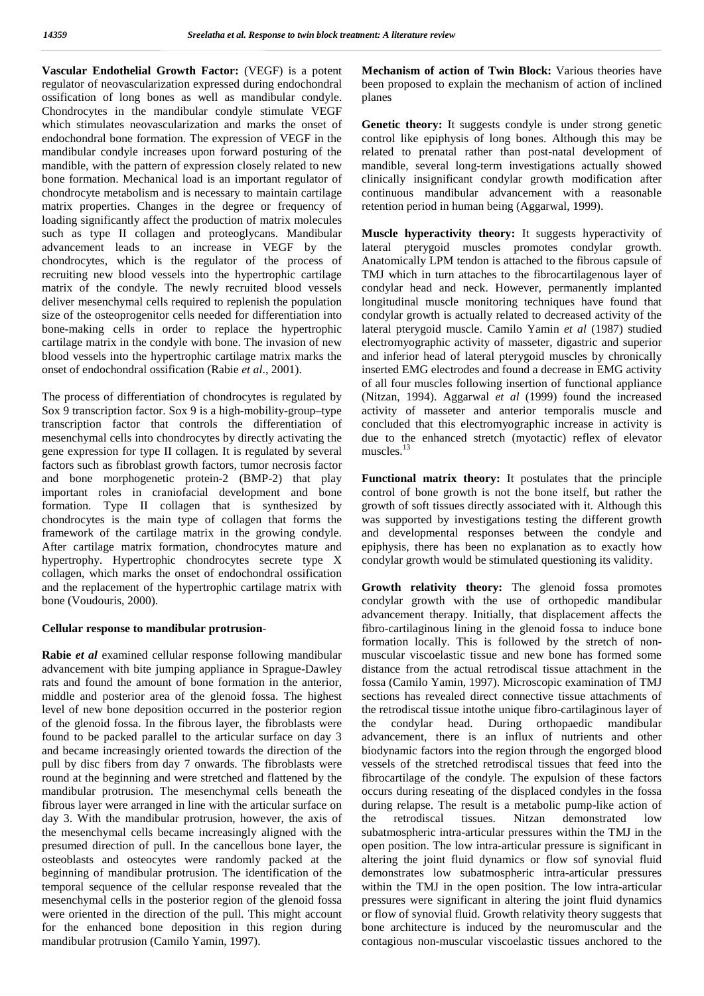**Vascular Endothelial Growth Factor:** (VEGF) is a potent regulator of neovascularization expressed during endochondral ossification of long bones as well as mandibular condyle. Chondrocytes in the mandibular condyle stimulate VEGF which stimulates neovascularization and marks the onset of endochondral bone formation. The expression of VEGF in the mandibular condyle increases upon forward posturing of the mandible, with the pattern of expression closely related to new bone formation. Mechanical load is an important regulator of chondrocyte metabolism and is necessary to maintain cartilage matrix properties. Changes in the degree or frequency of loading significantly affect the production of matrix molecules such as type II collagen and proteoglycans. Mandibular advancement leads to an increase in VEGF by the chondrocytes, which is the regulator of the process of recruiting new blood vessels into the hypertrophic cartilage matrix of the condyle. The newly recruited blood vessels deliver mesenchymal cells required to replenish the population size of the osteoprogenitor cells needed for differentiation into bone-making cells in order to replace the hypertrophic cartilage matrix in the condyle with bone. The invasion of new blood vessels into the hypertrophic cartilage matrix marks the onset of endochondral ossification (Rabie *et al*., 2001).

The process of differentiation of chondrocytes is regulated by Sox 9 transcription factor. Sox 9 is a high-mobility-group–type transcription factor that controls the differentiation of mesenchymal cells into chondrocytes by directly activating the gene expression for type II collagen. It is regulated by several factors such as fibroblast growth factors, tumor necrosis factor and bone morphogenetic protein-2 (BMP-2) that play important roles in craniofacial development and bone formation. Type II collagen that is synthesized by chondrocytes is the main type of collagen that forms the framework of the cartilage matrix in the growing condyle. After cartilage matrix formation, chondrocytes mature and hypertrophy. Hypertrophic chondrocytes secrete type X collagen, which marks the onset of endochondral ossification and the replacement of the hypertrophic cartilage matrix with bone (Voudouris, 2000).

#### **Cellular response to mandibular protrusion**-

**Rabie** *et al* examined cellular response following mandibular advancement with bite jumping appliance in Sprague-Dawley rats and found the amount of bone formation in the anterior, middle and posterior area of the glenoid fossa. The highest level of new bone deposition occurred in the posterior region of the glenoid fossa. In the fibrous layer, the fibroblasts were found to be packed parallel to the articular surface on day 3 and became increasingly oriented towards the direction of the pull by disc fibers from day 7 onwards. The fibroblasts were round at the beginning and were stretched and flattened by the mandibular protrusion. The mesenchymal cells beneath the fibrous layer were arranged in line with the articular surface on day 3. With the mandibular protrusion, however, the axis of the the mesenchymal cells became increasingly aligned with the presumed direction of pull. In the cancellous bone layer, the osteoblasts and osteocytes were randomly packed at the beginning of mandibular protrusion. The identification of the temporal sequence of the cellular response revealed that the mesenchymal cells in the posterior region of the glenoid fossa were oriented in the direction of the pull. This might account for the enhanced bone deposition in this region during mandibular protrusion (Camilo Yamin, 1997).

**Mechanism of action of Twin Block:** Various theories have been proposed to explain the mechanism of action of inclined planes

**Genetic theory:** It suggests condyle is under strong genetic control like epiphysis of long bones. Although this may be related to prenatal rather than post-natal development of mandible, several long-term investigations actually showed clinically insignificant condylar growth modification after continuous mandibular advancement with a reasonable retention period in human being (Aggarwal, 1999).

**Muscle hyperactivity theory:** It suggests hyperactivity of lateral pterygoid muscles promotes condylar growth. Anatomically LPM tendon is attached to the fibrous capsule of TMJ which in turn attaches to the fibrocartilagenous layer of condylar head and neck. However, permanently implanted longitudinal muscle monitoring techniques have found that condylar growth is actually related to decreased activity of the lateral pterygoid muscle. Camilo Yamin *et al* (1987) studied electromyographic activity of masseter, digastric and superior and inferior head of lateral pterygoid muscles by chronically inserted EMG electrodes and found a decrease in EMG activity of all four muscles following insertion of functional appliance (Nitzan, 1994). Aggarwal *et al* (1999) found the increased activity of masseter and anterior temporalis muscle and concluded that this electromyographic increase in activity is due to the enhanced stretch (myotactic) reflex of elevator muscles.<sup>13</sup>

**Functional matrix theory:** It postulates that the principle control of bone growth is not the bone itself, but rather the growth of soft tissues directly associated with it. Although this was supported by investigations testing the different growth and developmental responses between the condyle and epiphysis, there has been no explanation as to exactly how condylar growth would be stimulated questioning its validity.

**Growth relativity theory:** The glenoid fossa promotes condylar growth with the use of orthopedic mandibular advancement therapy. Initially, that displacement affects the fibro-cartilaginous lining in the glenoid fossa to induce bone formation locally. This is followed by the stretch of non muscular viscoelastic tissue and new bone has formed some distance from the actual retrodiscal tissue attachment in the fossa (Camilo Yamin, 1997). Microscopic examination of TMJ sections has revealed direct connective tissue attachments of the retrodiscal tissue intothe unique fibro-cartilaginous layer of condylar head. During orthopaedic mandibular advancement, there is an influx of nutrients and other biodynamic factors into the region through the engorged blood vessels of the stretched retrodiscal tissues that feed into the fibrocartilage of the condyle. The expulsion of these factors occurs during reseating of the displaced condyles in the fossa during relapse. The result is a metabolic pump-like action of retrodiscal tissues. Nitzan demonstrated low subatmospheric intra-articular pressures within the TMJ in the open position. The low intra-articular pressure is significant in altering the joint fluid dynamics or flow sof synovial fluid demonstrates low subatmospheric intra-articular pressures within the TMJ in the open position. The low intra-articular pressures were significant in altering the joint fluid dynamics or flow of synovial fluid. Growth relativity theory suggests that bone architecture is induced by the neuromuscular and the contagious non-muscular viscoelastic tissues anchored to the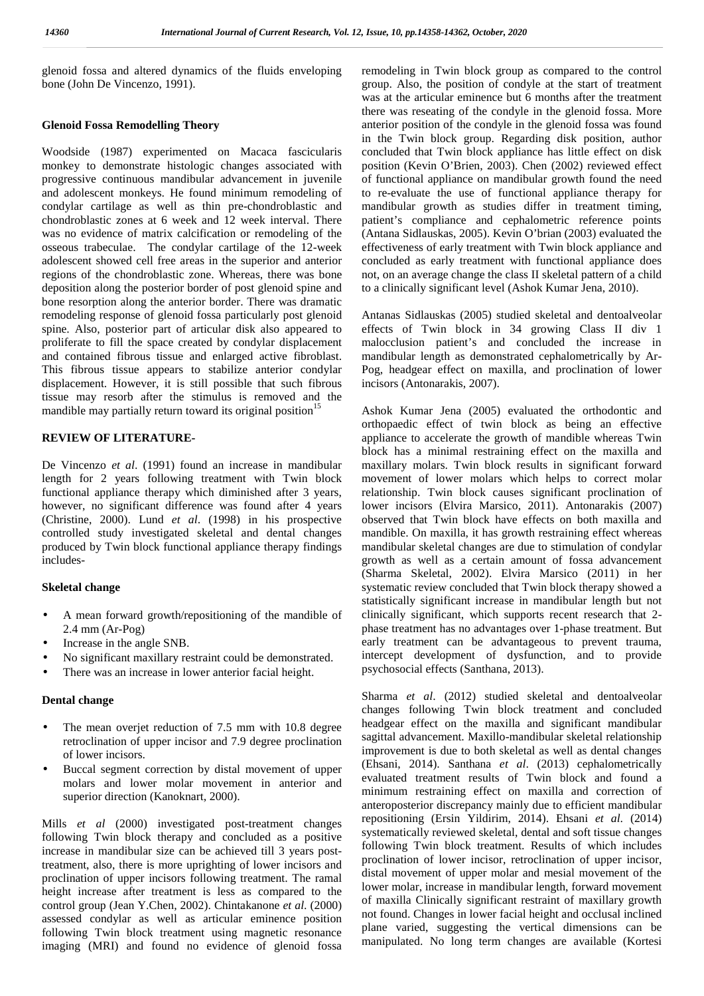glenoid fossa and altered dynamics of the fluids enveloping bone (John De Vincenzo, 1991).

#### **Glenoid Fossa Remodelling Theory**

Woodside (1987) experimented on Macaca fascicularis monkey to demonstrate histologic changes associated with progressive continuous mandibular advancement in juvenile and adolescent monkeys. He found minimum remodeling of condylar cartilage as well as thin pre-chondroblastic and chondroblastic zones at 6 week and 12 week interval. There was no evidence of matrix calcification or remodeling of the osseous trabeculae. The condylar cartilage of the 12-week adolescent showed cell free areas in the superior and anterior regions of the chondroblastic zone. Whereas, there was bone deposition along the posterior border of post glenoid spine and bone resorption along the anterior border. There was dramatic remodeling response of glenoid fossa particularly post glenoid spine. Also, posterior part of articular disk also appeared to proliferate to fill the space created by condylar displacement and contained fibrous tissue and enlarged active fibroblast. This fibrous tissue appears to stabilize anterior condylar displacement. However, it is still possible that such fibrous tissue may resorb after the stimulus is removed and the mandible may partially return toward its original position<sup>15</sup>

### **REVIEW OF LITERATURE-**

De Vincenzo *et al*. (1991) found an increase in mandibular length for 2 years following treatment with Twin block functional appliance therapy which diminished after 3 years, however, no significant difference was found after 4 years (Christine, 2000). Lund *et al*. (1998) in his prospective controlled study investigated skeletal and dental changes produced by Twin block functional appliance therapy findings includes-

### **Skeletal change**

- A mean forward growth/repositioning of the mandible of 2.4 mm (Ar-Pog)
- Increase in the angle SNB.
- No significant maxillary restraint could be demonstrated.
- There was an increase in lower anterior facial height.

### **Dental change**

- The mean overjet reduction of 7.5 mm with 10.8 degree retroclination of upper incisor and 7.9 degree proclination of lower incisors.
- Buccal segment correction by distal movement of upper molars and lower molar movement in anterior and superior direction (Kanoknart, 2000).

Mills *et al* (2000) investigated post-treatment changes following Twin block therapy and concluded as a positive increase in mandibular size can be achieved till 3 years posttreatment, also, there is more uprighting of lower incisors and proclination of upper incisors following treatment. The ramal height increase after treatment is less as compared to the control group (Jean Y.Chen, 2002). Chintakanone *et al*. (2000) assessed condylar as well as articular eminence position following Twin block treatment using magnetic resonance imaging (MRI) and found no evidence of glenoid fossa

remodeling in Twin block group as compared to the control group. Also, the position of condyle at the start of treatment was at the articular eminence but 6 months after the treatment there was reseating of the condyle in the glenoid fossa. More anterior position of the condyle in the glenoid fossa was found in the Twin block group. Regarding disk position, author concluded that Twin block appliance has little effect on disk position (Kevin O'Brien, 2003). Chen (2002) reviewed effect of functional appliance on mandibular growth found the need to re-evaluate the use of functional appliance therapy for mandibular growth as studies differ in treatment timing, patient's compliance and cephalometric reference points (Antana Sidlauskas, 2005). Kevin O'brian (2003) evaluated the effectiveness of early treatment with Twin block appliance and concluded as early treatment with functional appliance does not, on an average change the class II skeletal pattern of a child to a clinically significant level (Ashok Kumar Jena, 2010).

Antanas Sidlauskas (2005) studied skeletal and dentoalveolar effects of Twin block in 34 growing Class II div 1 malocclusion patient's and concluded the increase in mandibular length as demonstrated cephalometrically by Ar- Pog, headgear effect on maxilla, and proclination of lower incisors (Antonarakis, 2007).

Ashok Kumar Jena (2005) evaluated the orthodontic and orthopaedic effect of twin block as being an effective appliance to accelerate the growth of mandible whereas Twin block has a minimal restraining effect on the maxilla and maxillary molars. Twin block results in significant forward movement of lower molars which helps to correct molar relationship. Twin block causes significant proclination of lower incisors (Elvira Marsico, 2011). Antonarakis (2007) observed that Twin block have effects on both maxilla and mandible. On maxilla, it has growth restraining effect whereas mandibular skeletal changes are due to stimulation of condylar growth as well as a certain amount of fossa advancement (Sharma Skeletal, 2002). Elvira Marsico (2011) in her systematic review concluded that Twin block therapy showed a statistically significant increase in mandibular length but not clinically significant, which supports recent research that 2 phase treatment has no advantages over 1-phase treatment. But early treatment can be advantageous to prevent trauma, intercept development of dysfunction, and to provide psychosocial effects (Santhana, 2013).

Sharma *et al*. (2012) studied skeletal and dentoalveolar changes following Twin block treatment and concluded headgear effect on the maxilla and significant mandibular sagittal advancement. Maxillo-mandibular skeletal relationship improvement is due to both skeletal as well as dental changes (Ehsani, 2014). Santhana *et al*. (2013) cephalometrically evaluated treatment results of Twin block and found a minimum restraining effect on maxilla and correction of anteroposterior discrepancy mainly due to efficient mandibular repositioning (Ersin Yildirim, 2014). Ehsani *et al*. (2014) systematically reviewed skeletal, dental and soft tissue changes following Twin block treatment. Results of which includes proclination of lower incisor, retroclination of upper incisor, distal movement of upper molar and mesial movement of the lower molar, increase in mandibular length, forward movement of maxilla Clinically significant restraint of maxillary growth not found. Changes in lower facial height and occlusal inclined plane varied, suggesting the vertical dimensions can be manipulated. No long term changes are available (Kortesi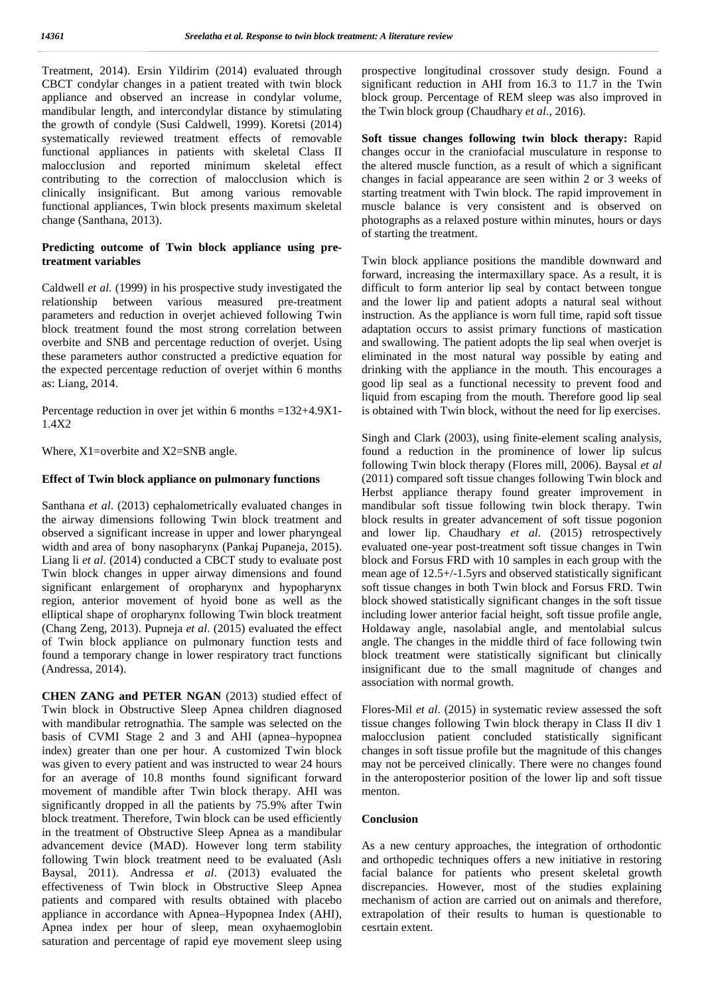Treatment, 2014). Ersin Yildirim (2014) evaluated through CBCT condylar changes in a patient treated with twin block appliance and observed an increase in condylar volume, mandibular length, and intercondylar distance by stimulating the growth of condyle (Susi Caldwell, 1999). Koretsi (2014) systematically reviewed treatment effects of removable functional appliances in patients with skeletal Class II malocclusion and reported minimum skeletal effect contributing to the correction of malocclusion which is clinically insignificant. But among various removable functional appliances, Twin block presents maximum skeletal change (Santhana, 2013).

## **Predicting outcome of Twin block appliance using pretreatment variables**

Caldwell *et al*. (1999) in his prospective study investigated the relationship between various measured pre-treatment parameters and reduction in overjet achieved following Twin block treatment found the most strong correlation between overbite and SNB and percentage reduction of overjet. Using these parameters author constructed a predictive equation for the expected percentage reduction of overjet within 6 months as: Liang, 2014.

Percentage reduction in over jet within 6 months =132+4.9X1- 1.4X2

Where, X1=overbite and X2=SNB angle.

#### **Effect of Twin block appliance on pulmonary functions**

Santhana *et al*. (2013) cephalometrically evaluated changes in the airway dimensions following Twin block treatment and observed a significant increase in upper and lower pharyngeal width and area of bony nasopharynx (Pankaj Pupaneja, 2015). Liang li *et al*. (2014) conducted a CBCT study to evaluate post Twin block changes in upper airway dimensions and found significant enlargement of oropharynx and hypopharynx region, anterior movement of hyoid bone as well as the elliptical shape of oropharynx following Twin block treatment (Chang Zeng, 2013). Pupneja *et al*. (2015) evaluated the effect of Twin block appliance on pulmonary function tests and found a temporary change in lower respiratory tract functions (Andressa, 2014).

**CHEN ZANG and PETER NGAN** (2013) studied effect of Twin block in Obstructive Sleep Apnea children diagnosed with mandibular retrognathia. The sample was selected on the basis of CVMI Stage 2 and 3 and AHI (apnea–hypopnea index) greater than one per hour. A customized Twin block was given to every patient and was instructed to wear 24 hours for an average of 10.8 months found significant forward movement of mandible after Twin block therapy. AHI was significantly dropped in all the patients by 75.9% after Twin block treatment. Therefore, Twin block can be used efficiently in the treatment of Obstructive Sleep Apnea as a mandibular advancement device (MAD). However long term stability following Twin block treatment need to be evaluated (Aslı Baysal, 2011). Andressa *et al*. (2013) evaluated the effectiveness of Twin block in Obstructive Sleep Apnea patients and compared with results obtained with placebo appliance in accordance with Apnea–Hypopnea Index (AHI), Apnea index per hour of sleep, mean oxyhaemoglobin saturation and percentage of rapid eye movement sleep using

prospective longitudinal crossover study design. Found a significant reduction in AHI from 16.3 to 11.7 in the Twin block group. Percentage of REM sleep was also improved in the Twin block group (Chaudhary *et al*., 2016).

**Soft tissue changes following twin block therapy:** Rapid changes occur in the craniofacial musculature in response to the altered muscle function, as a result of which a significant changes in facial appearance are seen within 2 or 3 weeks of starting treatment with Twin block. The rapid improvement in muscle balance is very consistent and is observed on photographs as a relaxed posture within minutes, hours or days of starting the treatment.

Twin block appliance positions the mandible downward and forward, increasing the intermaxillary space. As a result, it is difficult to form anterior lip seal by contact between tongue and the lower lip and patient adopts a natural seal without instruction. As the appliance is worn full time, rapid soft tissue adaptation occurs to assist primary functions of mastication and swallowing. The patient adopts the lip seal when overjet is eliminated in the most natural way possible by eating and drinking with the appliance in the mouth. This encourages a good lip seal as a functional necessity to prevent food and liquid from escaping from the mouth. Therefore good lip seal is obtained with Twin block, without the need for lip exercises.

Singh and Clark (2003), using finite-element scaling analysis, found a reduction in the prominence of lower lip sulcus following Twin block therapy (Flores mill, 2006). Baysal *et al* (2011) compared soft tissue changes following Twin block and Herbst appliance therapy found greater improvement in mandibular soft tissue following twin block therapy. Twin block results in greater advancement of soft tissue pogonion and lower lip. Chaudhary *et al*. (2015) retrospectively evaluated one-year post-treatment soft tissue changes in Twin block and Forsus FRD with 10 samples in each group with the mean age of 12.5+/-1.5yrs and observed statistically significant soft tissue changes in both Twin block and Forsus FRD. Twin block showed statistically significant changes in the soft tissue including lower anterior facial height, soft tissue profile angle, Holdaway angle, nasolabial angle, and mentolabial sulcus angle. The changes in the middle third of face following twin block treatment were statistically significant but clinically insignificant due to the small magnitude of changes and association with normal growth.

Flores-Mil *et al*. (2015) in systematic review assessed the soft tissue changes following Twin block therapy in Class II div 1 malocclusion patient concluded statistically significant changes in soft tissue profile but the magnitude of this changes may not be perceived clinically. There were no changes found in the anteroposterior position of the lower lip and soft tissue menton.

#### **Conclusion**

As a new century approaches, the integration of orthodontic and orthopedic techniques offers a new initiative in restoring facial balance for patients who present skeletal growth discrepancies. However, most of the studies explaining mechanism of action are carried out on animals and therefore, extrapolation of their results to human is questionable to cesrtain extent.